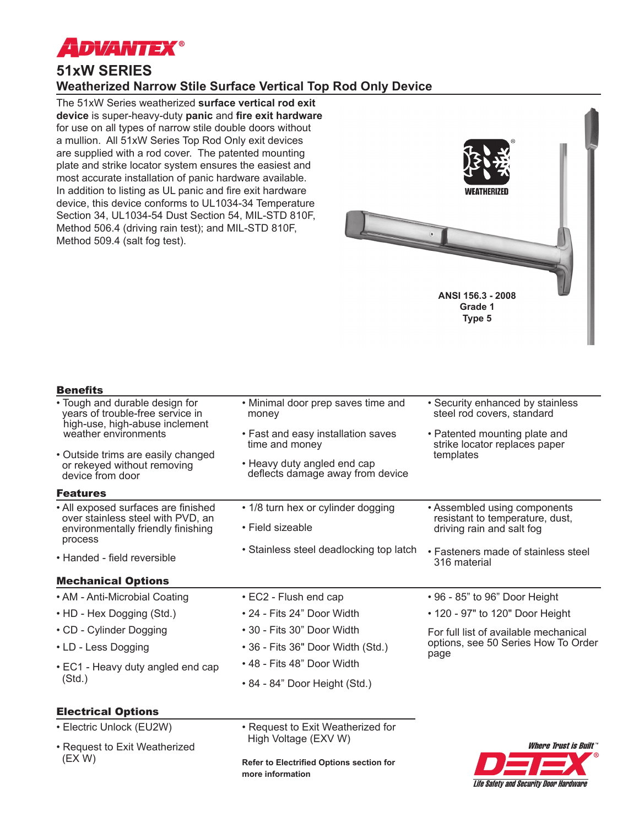

# **51xW SERIES Weatherized Narrow Stile Surface Vertical Top Rod Only Device**

The 51xW Series weatherized **surface vertical rod exit device** is super-heavy-duty **panic** and **fire exit hardware** for use on all types of narrow stile double doors without a mullion. All 51xW Series Top Rod Only exit devices are supplied with a rod cover. The patented mounting plate and strike locator system ensures the easiest and most accurate installation of panic hardware available. In addition to listing as UL panic and fire exit hardware device, this device conforms to UL1034-34 Temperature Section 34, UL1034-54 Dust Section 54, MIL-STD 810F, Method 506.4 (driving rain test); and MIL-STD 810F, Method 509.4 (salt fog test).



Life Safety and Security Door Hardware

# **Benefits**

| • Tough and durable design for<br>years of trouble-free service in<br>high-use, high-abuse inclement           | • Security enhanced by stainless<br>• Minimal door prep saves time and<br>steel rod covers, standard<br>money |                                                                                              |  |
|----------------------------------------------------------------------------------------------------------------|---------------------------------------------------------------------------------------------------------------|----------------------------------------------------------------------------------------------|--|
| weather environments                                                                                           | • Fast and easy installation saves<br>time and money                                                          | • Patented mounting plate and<br>strike locator replaces paper<br>templates                  |  |
| • Outside trims are easily changed<br>or rekeyed without removing<br>device from door                          | • Heavy duty angled end cap<br>deflects damage away from device                                               |                                                                                              |  |
| <b>Features</b>                                                                                                |                                                                                                               |                                                                                              |  |
| • All exposed surfaces are finished<br>over stainless steel with PVD, an<br>environmentally friendly finishing | • 1/8 turn hex or cylinder dogging<br>• Field sizeable                                                        | • Assembled using components<br>resistant to temperature, dust,<br>driving rain and salt fog |  |
| process                                                                                                        |                                                                                                               |                                                                                              |  |
| • Handed - field reversible                                                                                    | • Stainless steel deadlocking top latch                                                                       | • Fasteners made of stainless steel<br>316 material                                          |  |
| <b>Mechanical Options</b>                                                                                      |                                                                                                               |                                                                                              |  |
| • AM - Anti-Microbial Coating                                                                                  | • EC2 - Flush end cap                                                                                         | • 96 - 85" to 96" Door Height                                                                |  |
| • HD - Hex Dogging (Std.)                                                                                      | • 24 - Fits 24" Door Width                                                                                    | • 120 - 97" to 120" Door Height                                                              |  |
| • CD - Cylinder Dogging                                                                                        | • 30 - Fits 30" Door Width                                                                                    | For full list of available mechanical<br>options, see 50 Series How To Order<br>page         |  |
| • LD - Less Dogging                                                                                            | • 36 - Fits 36" Door Width (Std.)                                                                             |                                                                                              |  |
| • EC1 - Heavy duty angled end cap<br>(Std.)                                                                    | • 48 - Fits 48" Door Width                                                                                    |                                                                                              |  |
|                                                                                                                | • 84 - 84" Door Height (Std.)                                                                                 |                                                                                              |  |
| <b>Electrical Options</b>                                                                                      |                                                                                                               |                                                                                              |  |
| • Electric Unlock (EU2W)                                                                                       | • Request to Exit Weatherized for                                                                             |                                                                                              |  |
| • Request to Exit Weatherized<br>(EX W)                                                                        | High Voltage (EXV W)                                                                                          | <b>Where Trust is Built"</b>                                                                 |  |
|                                                                                                                | Refer to Electrified Options section for<br>more information                                                  |                                                                                              |  |